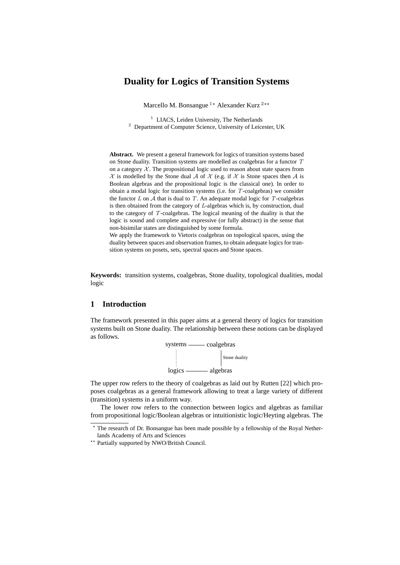# **Duality for Logics of Transition Systems**

Marcello M. Bonsangue  $1*$  Alexander Kurz  $2**$ 

<sup>1</sup> LIACS, Leiden University, The Netherlands <sup>2</sup> Department of Computer Science, University of Leicester, UK

**Abstract.** We present a general framework for logics of transition systems based on Stone duality. Transition systems are modelled as coalgebras for a functor T on a category  $X$ . The propositional logic used to reason about state spaces from  $X$  is modelled by the Stone dual A of X (e.g. if X is Stone spaces then A is Boolean algebras and the propositional logic is the classical one). In order to obtain a modal logic for transition systems (i.e. for T-coalgebras) we consider the functor  $L$  on  $A$  that is dual to  $T$ . An adequate modal logic for  $T$ -coalgebras is then obtained from the category of L-algebras which is, by construction, dual to the category of T-coalgebras. The logical meaning of the duality is that the logic is sound and complete and expressive (or fully abstract) in the sense that non-bisimilar states are distinguished by some formula.

We apply the framework to Vietoris coalgebras on topological spaces, using the duality between spaces and observation frames, to obtain adequate logics for transition systems on posets, sets, spectral spaces and Stone spaces.

**Keywords:** transition systems, coalgebras, Stone duality, topological dualities, modal logic

## **1 Introduction**

The framework presented in this paper aims at a general theory of logics for transition systems built on Stone duality. The relationship between these notions can be displayed as follows.



The upper row refers to the theory of coalgebras as laid out by Rutten [22] which proposes coalgebras as a general framework allowing to treat a large variety of different (transition) systems in a uniform way.

The lower row refers to the connection between logics and algebras as familiar from propositional logic/Boolean algebras or intuitionistic logic/Heyting algebras. The

<sup>?</sup> The research of Dr. Bonsangue has been made possible by a fellowship of the Royal Netherlands Academy of Arts and Sciences

<sup>\*\*</sup> Partially supported by NWO/British Council.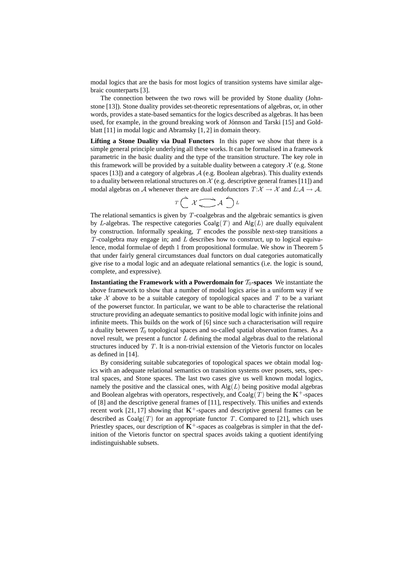modal logics that are the basis for most logics of transition systems have similar algebraic counterparts [3].

The connection between the two rows will be provided by Stone duality (Johnstone [13]). Stone duality provides set-theoretic representations of algebras, or, in other words, provides a state-based semantics for the logics described as algebras. It has been used, for example, in the ground breaking work of Jónnson and Tarski [15] and Goldblatt [11] in modal logic and Abramsky [1, 2] in domain theory.

**Lifting a Stone Duality via Dual Functors** In this paper we show that there is a simple general principle underlying all these works. It can be formalised in a framework parametric in the basic duality and the type of the transition structure. The key role in this framework will be provided by a suitable duality between a category  $X$  (e.g. Stone spaces  $[13]$ ) and a category of algebras  $\mathcal A$  (e.g. Boolean algebras). This duality extends to a duality between relational structures on  $\mathcal X$  (e.g. descriptive general frames [11]) and modal algebras on A whenever there are dual endofunctors  $T:\mathcal{X} \to \mathcal{X}$  and  $L:\mathcal{A} \to \mathcal{A}$ .

$$
T\bigcap\mathcal{X}\underset{\longleftarrow}{\longrightarrow}\mathcal{A}\bigcap\mathcal{L}
$$

The relational semantics is given by  $T$ -coalgebras and the algebraic semantics is given by L-algebras. The respective categories  $\text{Coalg}(T)$  and  $\text{Alg}(L)$  are dually equivalent by construction. Informally speaking,  $T$  encodes the possible next-step transitions a T-coalgebra may engage in; and  $L$  describes how to construct, up to logical equivalence, modal formulae of depth 1 from propositional formulae. We show in Theorem 5 that under fairly general circumstances dual functors on dual categories automatically give rise to a modal logic and an adequate relational semantics (i.e. the logic is sound, complete, and expressive).

**Instantiating the Framework with a Powerdomain for**  $\mathcal{T}_0$ **-spaces** We instantiate the above framework to show that a number of modal logics arise in a uniform way if we take  $X$  above to be a suitable category of topological spaces and  $T$  to be a variant of the powerset functor. In particular, we want to be able to characterise the relational structure providing an adequate semantics to positive modal logic with infinite joins and infinite meets. This builds on the work of [6] since such a characterisation will require a duality between  $T_0$  topological spaces and so-called spatial observation frames. As a novel result, we present a functor  $L$  defining the modal algebras dual to the relational structures induced by  $T$ . It is a non-trivial extension of the Vietoris functor on locales as defined in [14].

By considering suitable subcategories of topological spaces we obtain modal logics with an adequate relational semantics on transition systems over posets, sets, spectral spaces, and Stone spaces. The last two cases give us well known modal logics, namely the positive and the classical ones, with  $\mathsf{Alg}(L)$  being positive modal algebras and Boolean algebras with operators, respectively, and  $Coalg(T)$  being the  $K^+$ -spaces of [8] and the descriptive general frames of [11], respectively. This unifies and extends recent work [21, 17] showing that  $K^+$ -spaces and descriptive general frames can be described as  $Coalg(T)$  for an appropriate functor T. Compared to [21], which uses Priestley spaces, our description of  $K^+$ -spaces as coalgebras is simpler in that the definition of the Vietoris functor on spectral spaces avoids taking a quotient identifying indistinguishable subsets.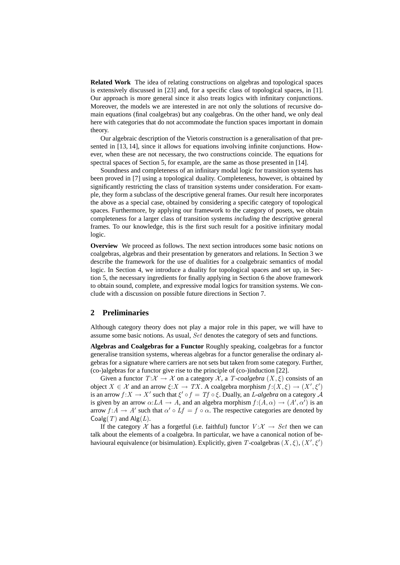**Related Work** The idea of relating constructions on algebras and topological spaces is extensively discussed in [23] and, for a specific class of topological spaces, in [1]. Our approach is more general since it also treats logics with infinitary conjunctions. Moreover, the models we are interested in are not only the solutions of recursive domain equations (final coalgebras) but any coalgebras. On the other hand, we only deal here with categories that do not accommodate the function spaces important in domain theory.

Our algebraic description of the Vietoris construction is a generalisation of that presented in [13, 14], since it allows for equations involving infinite conjunctions. However, when these are not necessary, the two constructions coincide. The equations for spectral spaces of Section 5, for example, are the same as those presented in [14].

Soundness and completeness of an infinitary modal logic for transition systems has been proved in [7] using a topological duality. Completeness, however, is obtained by significantly restricting the class of transition systems under consideration. For example, they form a subclass of the descriptive general frames. Our result here incorporates the above as a special case, obtained by considering a specific category of topological spaces. Furthermore, by applying our framework to the category of posets, we obtain completeness for a larger class of transition systems *including* the descriptive general frames. To our knowledge, this is the first such result for a positive infinitary modal logic.

**Overview** We proceed as follows. The next section introduces some basic notions on coalgebras, algebras and their presentation by generators and relations. In Section 3 we describe the framework for the use of dualities for a coalgebraic semantics of modal logic. In Section 4, we introduce a duality for topological spaces and set up, in Section 5, the necessary ingredients for finally applying in Section 6 the above framework to obtain sound, complete, and expressive modal logics for transition systems. We conclude with a discussion on possible future directions in Section 7.

### **2 Preliminaries**

Although category theory does not play a major role in this paper, we will have to assume some basic notions. As usual, Set denotes the category of sets and functions.

**Algebras and Coalgebras for a Functor** Roughly speaking, coalgebras for a functor generalise transition systems, whereas algebras for a functor generalise the ordinary algebras for a signature where carriers are not sets but taken from some category. Further, (co-)algebras for a functor give rise to the principle of (co-)induction [22].

Given a functor  $T:\mathcal{X} \to \mathcal{X}$  on a category  $\mathcal{X}$ , a  $T$ -coalgebra  $(X, \xi)$  consists of an object  $X \in \mathcal{X}$  and an arrow  $\xi: X \to TX$ . A coalgebra morphism  $f:(X, \xi) \to (X', \xi')$ is an arrow  $f: X \to X'$  such that  $\xi' \circ f = Tf \circ \xi$ . Dually, an *L*-algebra on a category A is given by an arrow  $\alpha: LA \to A$ , and an algebra morphism  $f:(A,\alpha) \to (A',\alpha')$  is an arrow  $f: A \to A'$  such that  $\alpha' \circ Lf = f \circ \alpha$ . The respective categories are denoted by Coalg(T) and  $\text{Alg}(L)$ .

If the category X has a forgetful (i.e. faithful) functor  $V: X \rightarrow Set$  then we can talk about the elements of a coalgebra. In particular, we have a canonical notion of behavioural equivalence (or bisimulation). Explicitly, given T-coalgebras  $(X, \xi), (X', \xi')$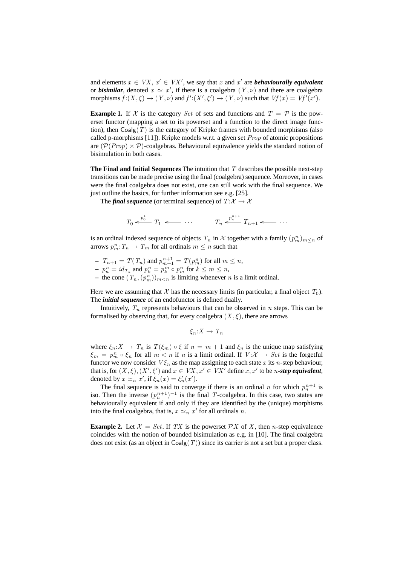and elements  $x \in VX$ ,  $x' \in VX'$ , we say that x and x' are *behaviourally equivalent* or *bisimilar*, denoted  $x \simeq x'$ , if there is a coalgebra  $(Y, \nu)$  and there are coalgebra morphisms  $f:(X,\xi) \to (Y,\nu)$  and  $f':(X',\xi') \to (Y,\nu)$  such that  $Vf(x) = Vf'(x')$ .

**Example 1.** If X is the category Set of sets and functions and  $T = \mathcal{P}$  is the powerset functor (mapping a set to its powerset and a function to the direct image function), then  $Coalg(T)$  is the category of Kripke frames with bounded morphisms (also called p-morphisms  $[11]$ ). Kripke models w.r.t. a given set *Prop* of atomic propositions are  $(\mathcal{P}(Prop) \times \mathcal{P})$ -coalgebras. Behavioural equivalence yields the standard notion of bisimulation in both cases.

**The Final and Initial Sequences** The intuition that T describes the possible next-step transitions can be made precise using the final (coalgebra) sequence. Moreover, in cases were the final coalgebra does not exist, one can still work with the final sequence. We just outline the basics, for further information see e.g. [25].

The *final sequence* (or terminal sequence) of  $T: \mathcal{X} \to \mathcal{X}$ 

$$
T_0 \xleftarrow{p_0^1} T_1 \xleftarrow{p_n^1} T_{n+1} \xleftarrow{p_n^{n+1}} T_{n+1} \xleftarrow{p_n^1} \cdots
$$

is an ordinal indexed sequence of objects  $T_n$  in  $\mathcal X$  together with a family  $(p_m^n)_{m \leq n}$  of arrows  $p_m^n$ :  $T_n \to T_m$  for all ordinals  $m \leq n$  such that

- **–**  $T_{n+1} = T(T_n)$  and  $p_{m+1}^{n+1} = T(p_m^n)$  for all  $m \leq n$ ,
- $p_n^n = id_{T_n}$  and  $p_k^n = p_k^m \circ p_m^n$  for  $k \le m \le n$ ,
- the cone  $(T_n, (p_m^n))_{m \lt n}$  is limiting whenever n is a limit ordinal.

Here we are assuming that X has the necessary limits (in particular, a final object  $T_0$ ). The *initial sequence* of an endofunctor is defined dually.

Intuitively,  $T_n$  represents behaviours that can be observed in n steps. This can be formalised by observing that, for every coalgebra  $(X, \xi)$ , there are arrows

$$
\xi_n:X\to T_n
$$

where  $\xi_n:X \to T_n$  is  $T(\xi_m) \circ \xi$  if  $n = m + 1$  and  $\xi_n$  is the unique map satisfying  $\xi_m = p_m^n \circ \xi_n$  for all  $m < n$  if n is a limit ordinal. If  $V: \mathcal{X} \to Set$  is the forgetful functor we now consider  $V \xi_n$  as the map assigning to each state x its n-step behaviour, that is, for  $(X, \xi), (X', \xi')$  and  $x \in VX, x' \in VX'$  define  $x, x'$  to be *n*-step equivalent, denoted by  $x \simeq_n x'$ , if  $\xi_n(x) = \xi'_n(x')$ .

The final sequence is said to converge if there is an ordinal *n* for which  $p_n^{n+1}$  is iso. Then the inverse  $(p_n^{n+1})^{-1}$  is the final T-coalgebra. In this case, two states are behaviourally equivalent if and only if they are identified by the (unique) morphisms into the final coalgebra, that is,  $x \simeq_n x'$  for all ordinals n.

**Example 2.** Let  $X = Set$ . If TX is the powerset PX of X, then n-step equivalence coincides with the notion of bounded bisimulation as e.g. in [10]. The final coalgebra does not exist (as an object in  $\text{Coalg}(T)$ ) since its carrier is not a set but a proper class.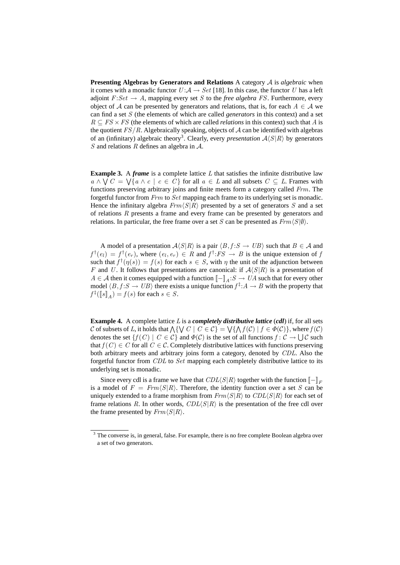**Presenting Algebras by Generators and Relations** A category A is *algebraic* when it comes with a monadic functor  $U : A \to Set$  [18]. In this case, the functor U has a left adjoint  $F:Set \to A$ , mapping every set S to the *free algebra FS*. Furthermore, every object of A can be presented by generators and relations, that is, for each  $A \in \mathcal{A}$  we can find a set S (the elements of which are called *generators* in this context) and a set  $R \subseteq FS \times FS$  (the elements of which are called *relations* in this context) such that A is the quotient  $FS/R$ . Algebraically speaking, objects of A can be identified with algebras of an (infinitary) algebraic theory<sup>3</sup>. Clearly, every *presentation*  $A\langle S|R\rangle$  by generators S and relations R defines an algebra in  $A$ .

**Example 3.** A *frame* is a complete lattice L that satisfies the infinite distributive law  $a \wedge \bigvee C = \bigvee \{a \wedge c \mid c \in C\}$  for all  $a \in L$  and all subsets  $C \subseteq L$ . Frames with functions preserving arbitrary joins and finite meets form a category called Frm. The forgetful functor from Frm to Set mapping each frame to its underlying set is monadic. Hence the infinitary algebra  $Frm\langle S|R\rangle$  presented by a set of generators S and a set of relations R presents a frame and every frame can be presented by generators and relations. In particular, the free frame over a set S can be presented as  $Frm\langle S|\emptyset\rangle$ .

A model of a presentation  $A\langle S|R \rangle$  is a pair  $\langle B, f : S \to UB \rangle$  such that  $B \in \mathcal{A}$  and  $f^{\dagger}(e_l) = f^{\dagger}(e_r)$ , where  $(e_l, e_r) \in R$  and  $f^{\dagger} : FS \to B$  is the unique extension of j such that  $f^{\dagger}(\eta(s)) = f(s)$  for each  $s \in S$ , with  $\eta$  the unit of the adjunction between F and U. It follows that presentations are canonical: if  $A\langle S|R\rangle$  is a presentation of  $A \in \mathcal{A}$  then it comes equipped with a function  $\llbracket - \rrbracket_A : S \to UA$  such that for every other model  $\langle B, f : S \to UB \rangle$  there exists a unique function  $f^{\ddagger}: A \to B$  with the property that  $f^{\ddagger}(\llbracket s \rrbracket_A) = f(s)$  for each  $s \in S$ .

**Example 4.** A complete lattice L is a *completely distributive lattice* (*cdl*) if, for all sets C of subsets of L, it holds that  $\bigwedge \{ \bigvee C \mid C \in C \} = \bigvee \{ \bigwedge f(C) \mid f \in \Phi(C) \}$ , where  $f(C)$ denotes the set  $\{f(C) \mid C \in C\}$  and  $\Phi(C)$  is the set of all functions  $f: C \to \bigcup C$  such that  $f(C) \in C$  for all  $C \in \mathcal{C}$ . Completely distributive lattices with functions preserving both arbitrary meets and arbitrary joins form a category, denoted by CDL. Also the forgetful functor from CDL to Set mapping each completely distributive lattice to its underlying set is monadic.

Since every cdl is a frame we have that  $CDL\langle S|R\rangle$  together with the function  $[-\mathbb{F}_F]$ is a model of  $F = Frm \langle S | R \rangle$ . Therefore, the identity function over a set S can be uniquely extended to a frame morphism from  $Frm\langle S|R\rangle$  to  $CDL\langle S|R\rangle$  for each set of frame relations R. In other words,  $CDL\langle S|R\rangle$  is the presentation of the free cdl over the frame presented by  $Frm\langle S|R\rangle$ .

<sup>&</sup>lt;sup>3</sup> The converse is, in general, false. For example, there is no free complete Boolean algebra over a set of two generators.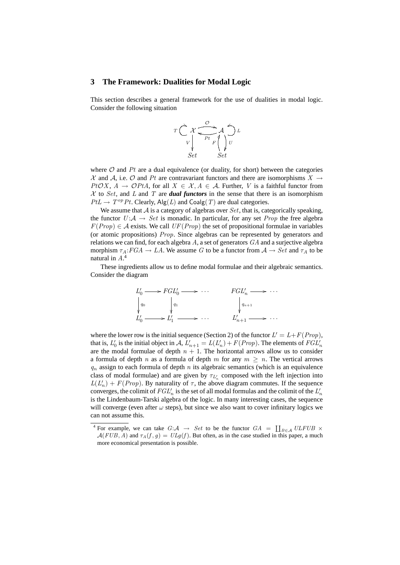#### **3 The Framework: Dualities for Modal Logic**

This section describes a general framework for the use of dualities in modal logic. Consider the following situation



where  $O$  and  $Pt$  are a dual equivalence (or duality, for short) between the categories X and A, i.e. O and Pt are contravariant functors and there are isomorphisms  $X \rightarrow$  $PtOX, A \rightarrow \mathcal{O}PtA$ , for all  $X \in \mathcal{X}, A \in \mathcal{A}$ . Further, V is a faithful functor from  $X$  to Set, and L and T are *dual functors* in the sense that there is an isomorphism  $PtL \rightarrow T^{op} Pt$ . Clearly, Alg(L) and Coalg(T) are dual categories.

We assume that  $\mathcal A$  is a category of algebras over  $Set$ , that is, categorically speaking, the functor  $U: A \rightarrow Set$  is monadic. In particular, for any set *Prop* the free algebra  $F(Prop) \in \mathcal{A}$  exists. We call  $UF(Prop)$  the set of propositional formulae in variables (or atomic propositions) Prop. Since algebras can be represented by generators and relations we can find, for each algebra  $A$ , a set of generators  $GA$  and a surjective algebra morphism  $\tau_A:FGA \to LA$ . We assume G to be a functor from  $A \to Set$  and  $\tau_A$  to be natural in A. 4

These ingredients allow us to define modal formulae and their algebraic semantics. Consider the diagram



where the lower row is the initial sequence (Section 2) of the functor  $L' = L + F(Prop)$ , that is,  $L'_0$  is the initial object in  $A$ ,  $L'_{n+1} = L(L'_n) + F(Prop)$ . The elements of  $FGL'_n$ are the modal formulae of depth  $n + 1$ . The horizontal arrows allow us to consider a formula of depth n as a formula of depth m for any  $m \geq n$ . The vertical arrows  $q_n$  assign to each formula of depth n its algebraic semantics (which is an equivalence class of modal formulae) and are given by  $\tau_{L_n}$  composed with the left injection into  $L(L'_n) + F(Prop)$ . By naturality of  $\tau$ , the above diagram commutes. If the sequence converges, the colimit of  $FGL_n'$  is the set of all modal formulas and the colimit of the  $L_n'$ is the Lindenbaum-Tarski algebra of the logic. In many interesting cases, the sequence will converge (even after  $\omega$  steps), but since we also want to cover infinitary logics we can not assume this.

<sup>&</sup>lt;sup>4</sup> For example, we can take  $G: \mathcal{A} \rightarrow Set$  to be the functor  $GA = \coprod_{B \in \mathcal{A}} ULFUB \times$  $A(FUB, A)$  and  $\tau_A(f, g) = ULg(f)$ . But often, as in the case studied in this paper, a much more economical presentation is possible.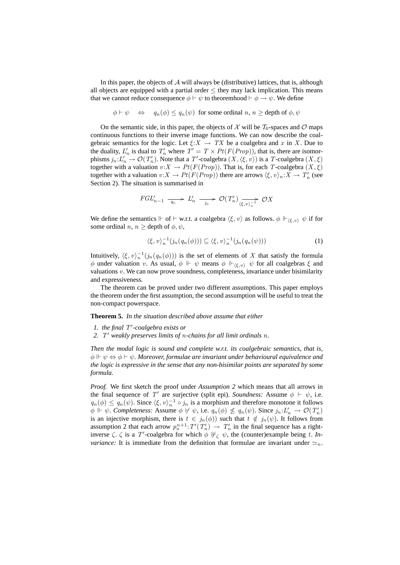In this paper, the objects of  $A$  will always be (distributive) lattices, that is, although all objects are equipped with a partial order  $\leq$  they may lack implication. This means that we cannot reduce consequence  $\phi \vdash \psi$  to theoremhood  $\vdash \phi \rightarrow \psi$ . We define

$$
\phi \vdash \psi \Leftrightarrow q_n(\phi) \leq q_n(\psi)
$$
 for some ordinal  $n, n \geq$  depth of  $\phi, \psi$ 

On the semantic side, in this paper, the objects of X will be  $T_0$ -spaces and O maps continuous functions to their inverse image functions. We can now describe the coalgebraic semantics for the logic. Let  $\xi: X \to TX$  be a coalgebra and x in X. Due to the duality,  $L'_n$  is dual to  $T'_n$  where  $T' = T \times Pt(F(Prop))$ , that is, there are isomorphisms  $j_n: L'_n \to \mathcal{O}(T'_n)$ . Note that a T'-coalgebra  $(X, \langle \xi, v \rangle)$  is a T-coalgebra  $(X, \xi)$ together with a valuation  $v:X \to Pt(F(Prop))$ . That is, for each T-coalgebra  $(X,\xi)$ together with a valuation  $v:X \to Pt(F(Prop))$  there are arrows  $\langle \xi, v \rangle_n:X \to T'_n$  (see Section 2). The situation is summarised in

$$
FGL_{n-1}' \xrightarrow{q_n} L_n' \xrightarrow{j_n} \mathcal{O}(T_n') \xrightarrow{\longrightarrow} \mathcal{O}X
$$

We define the semantics  $\Vdash$  of  $\vdash$  w.r.t. a coalgebra  $\langle \xi, v \rangle$  as follows.  $\phi \Vdash_{\langle \xi, v \rangle} \psi$  if for some ordinal  $n, n \geq$  depth of  $\phi, \psi$ ,

$$
\langle \xi, v \rangle_n^{-1} (j_n(q_n(\phi))) \subseteq \langle \xi, v \rangle_n^{-1} (j_n(q_n(\psi))) \tag{1}
$$

Intuitively,  $\langle \xi, v \rangle_n^{-1} (j_n(q_n(\phi)))$  is the set of elements of X that satisfy the formula  $\phi$  under valuation v. As usual,  $\phi \Vdash \psi$  means  $\phi \Vdash_{\langle \xi, v \rangle} \psi$  for all coalgebras  $\xi$  and valuations  $v$ . We can now prove soundness, completeness, invariance under bisimilarity and expressiveness.

The theorem can be proved under two different assumptions. This paper employs the theorem under the first assumption, the second assumption will be useful to treat the non-compact powerspace.

**Theorem 5.** *In the situation described above assume that either*

- *1. the final* T 0 *-coalgebra exists or*
- *2.* T <sup>0</sup> *weakly preserves limits of* n*-chains for all limit ordinals* n*.*

*Then the modal logic is sound and complete w.r.t. its coalgebraic semantics, that is,*  $\phi \Vdash \psi \Leftrightarrow \phi \vdash \psi$ . Moreover, formulae are invariant under behavioural equivalence and *the logic is expressive in the sense that any non-bisimilar points are separated by some formula.*

*Proof.* We first sketch the proof under *Assumption 2* which means that all arrows in the final sequence of T' are surjective (split epi). *Soundness:* Assume  $\phi \vdash \psi$ , i.e.  $q_n(\phi) \leq q_n(\psi)$ . Since  $\langle \xi, v \rangle_n^{-1} \circ j_n$  is a morphism and therefore monotone it follows  $\phi \Vdash \psi$ . *Completeness:* Assume  $\phi \not\vdash \psi$ , i.e.  $q_n(\phi) \not\leq q_n(\psi)$ . Since  $j_n: L'_n \to \mathcal{O}(T'_n)$ is an injective morphism, there is  $t \in j_n(\phi)$  such that  $t \notin j_n(\psi)$ . It follows from assumption 2 that each arrow  $p_n^{n+1}$ :  $T'(T'_n) \to T'_n$  in the final sequence has a rightinverse  $\zeta$ .  $\zeta$  is a T'-coalgebra for which  $\phi$   $\nvdash_{\zeta} \psi$ , the (counter)example being t. In*variance*: It is immediate from the definition that formulae are invariant under  $\approx_n$ .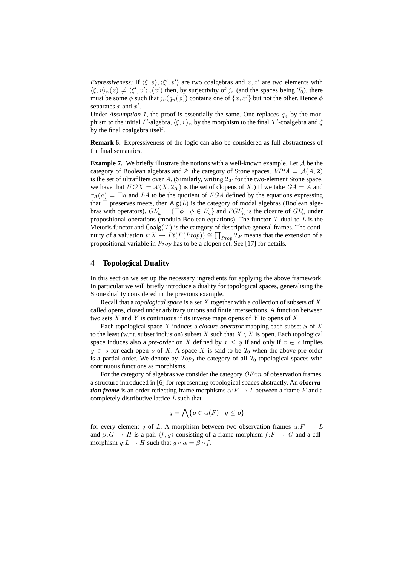*Expressiveness:* If  $\langle \xi, v \rangle$ ,  $\langle \xi', v' \rangle$  are two coalgebras and  $x, x'$  are two elements with  $\langle \xi, v \rangle_n(x) \neq \langle \xi', v' \rangle_n(x')$  then, by surjectivity of  $j_n$  (and the spaces being  $\mathcal{T}_0$ ), there must be some  $\phi$  such that  $j_n(q_n(\phi))$  contains one of  $\{x, x'\}$  but not the other. Hence  $\phi$ separates  $x$  and  $x'$ .

Under *Assumption 1*, the proof is essentially the same. One replaces  $q_n$  by the morphism to the initial L'-algebra,  $\langle \xi, v \rangle_n$  by the morphism to the final T'-coalgebra and  $\zeta$ by the final coalgebra itself.

**Remark 6.** Expressiveness of the logic can also be considered as full abstractness of the final semantics.

**Example 7.** We briefly illustrate the notions with a well-known example. Let A be the category of Boolean algebras and X the category of Stone spaces.  $V P t A = A(A, 2)$ is the set of ultrafilters over A. (Similarly, writing  $2x$  for the two-element Stone space, we have that  $U\mathcal{O}X = \mathcal{X}(X, 2_{\mathcal{X}})$  is the set of clopens of X.) If we take  $GA = A$  and  $\tau_A(a) = \Box a$  and LA to be the quotient of FGA defined by the equations expressing that  $\Box$  preserves meets, then  $\text{Alg}(L)$  is the category of modal algebras (Boolean algebras with operators).  $GL_n' = {\overline{\cup} \phi \mid \phi \in L_n'}$  and  $FGL_n'$  is the closure of  $GL_n'$  under propositional operations (modulo Boolean equations). The functor  $T$  dual to  $L$  is the Vietoris functor and  $Coalg(T)$  is the category of descriptive general frames. The continuity of a valuation  $v: X \to Pt(F(Prop)) \cong \prod_{Prop} 2_{\mathcal{X}}$  means that the extension of a propositional variable in  $Prop$  has to be a clopen set. See [17] for details.

#### **4 Topological Duality**

In this section we set up the necessary ingredients for applying the above framework. In particular we will briefly introduce a duality for topological spaces, generalising the Stone duality considered in the previous example.

Recall that a *topological space* is a set X together with a collection of subsets of X , called opens, closed under arbitrary unions and finite intersections. A function between two sets  $X$  and  $Y$  is continuous if its inverse maps opens of  $Y$  to opens of  $X$ .

Each topological space X induces a *closure operator* mapping each subset S of X to the least (w.r.t. subset inclusion) subset  $\overline{X}$  such that  $X \setminus \overline{X}$  is open. Each topological space induces also a *pre-order* on X defined by  $x \leq y$  if and only if  $x \in o$  implies  $y \in o$  for each open o of X. A space X is said to be  $\mathcal{T}_0$  when the above pre-order is a partial order. We denote by  $Top_0$  the category of all  $T_0$  topological spaces with continuous functions as morphisms.

For the category of algebras we consider the category *OFrm* of observation frames, a structure introduced in [6] for representing topological spaces abstractly. An *observation frame* is an order-reflecting frame morphisms  $\alpha: F \to L$  between a frame F and a completely distributive lattice  $L$  such that

$$
q = \bigwedge \{ o \in \alpha(F) \mid q \le o \}
$$

for every element q of L. A morphism between two observation frames  $\alpha: F \to L$ and  $\beta: G \to H$  is a pair  $\langle f, g \rangle$  consisting of a frame morphism  $f : F \to G$  and a cdlmorphism  $q: L \to H$  such that  $q \circ \alpha = \beta \circ f$ .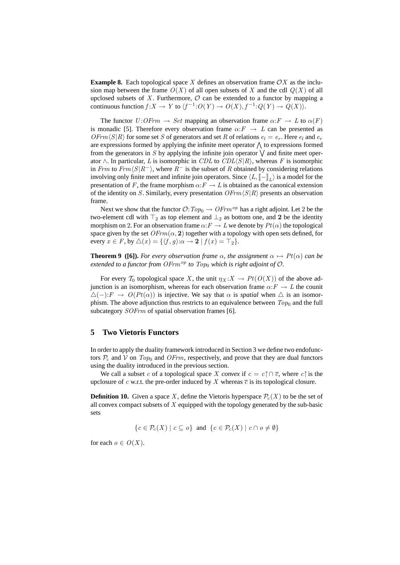**Example 8.** Each topological space X defines an observation frame  $\mathcal{O}X$  as the inclusion map between the frame  $O(X)$  of all open subsets of X and the cdl  $Q(X)$  of all upclosed subsets of X. Furthermore,  $O$  can be extended to a functor by mapping a continuous function  $f: X \to Y$  to  $\langle f^{-1}: O(Y) \to O(X), f^{-1}: Q(Y) \to Q(X) \rangle$ .

The functor  $U:OFrm \rightarrow Set$  mapping an observation frame  $\alpha: F \rightarrow L$  to  $\alpha(F)$ is monadic [5]. Therefore every observation frame  $\alpha: F \to L$  can be presented as  $\widehat{O}$ Frm $\langle S|R \rangle$  for some set S of generators and set R of relations  $e_l = e_r$ . Here  $e_l$  and  $e_r$ are expressions formed by applying the infinite meet operator  $\bigwedge$  to expressions formed from the generators in S by applying the infinite join operator  $\vee$  and finite meet operator  $\wedge$ . In particular, L is isomorphic in CDL to CDL $\langle S | R \rangle$ , whereas F is isomorphic in Frm to Frm $\langle S|R^{-}\rangle$ , where  $R^{-}$  is the subset of R obtained by considering relations involving only finite meet and infinite join operators. Since  $\langle L, [\![-]\!]_L\rangle$  is a model for the presentation of F, the frame morphism  $\alpha: F \to L$  is obtained as the canonical extension of the identity on S. Similarly, every presentation  $\mathcal{O}Frm\langle S|R\rangle$  presents an observation frame.

Next we show that the functor  $\mathcal{O}: Top_0 \to \mathbb{O}Frm^{op}$  has a right adjoint. Let 2 be the two-element cdl with  $\top_2$  as top element and  $\bot_2$  as bottom one, and 2 be the identity morphism on 2. For an observation frame  $\alpha$ :  $F \to L$  we denote by  $Pt(\alpha)$  the topological space given by the set  $\mathcal{O}Frm(\alpha, 2)$  together with a topology with open sets defined, for every  $x \in F$ , by  $\triangle(x) = \{ \langle f, g \rangle : \alpha \to \mathbf{2} \mid f(x) = \top_2 \}.$ 

**Theorem 9** (**[6]).** *For every observation frame*  $\alpha$ *, the assignment*  $\alpha \mapsto Pt(\alpha)$  *can be extended to a functor from OFrm*<sup>op</sup> *to*  $Top<sub>0</sub>$  *which is right adjoint of*  $O$ *.* 

For every  $\mathcal{T}_0$  topological space X, the unit  $\eta_X : X \to Pt(O(X))$  of the above adjunction is an isomorphism, whereas for each observation frame  $\alpha: F \to L$  the counit  $\triangle(-): F \to O(Pt(\alpha))$  is injective. We say that  $\alpha$  is *spatial* when  $\triangle$  is an isomorphism. The above adjunction thus restricts to an equivalence between  $Top<sub>0</sub>$  and the full subcategory SOFrm of spatial observation frames [6].

#### **5 Two Vietoris Functors**

In order to apply the duality framework introduced in Section 3 we define two endofunctors  $\mathcal{P}_{c}$  and  $\mathcal{V}$  on  $Top_{0}$  and  $OFrm$ , respectively, and prove that they are dual functors using the duality introduced in the previous section.

We call a subset c of a topological space X convex if  $c = c \cap \overline{c}$ , where  $c \cap \overline{c}$  is the upclosure of c w.r.t. the pre-order induced by X whereas  $\overline{c}$  is its topological closure.

**Definition 10.** Given a space X, define the Vietoris hyperspace  $\mathcal{P}_c(X)$  to be the set of all convex compact subsets of  $X$  equipped with the topology generated by the sub-basic sets

 ${c \in \mathcal{P}_c(X) \mid c \subseteq o}$  and  ${c \in \mathcal{P}_c(X) \mid c \cap o \neq \emptyset}$ 

for each  $o \in O(X)$ .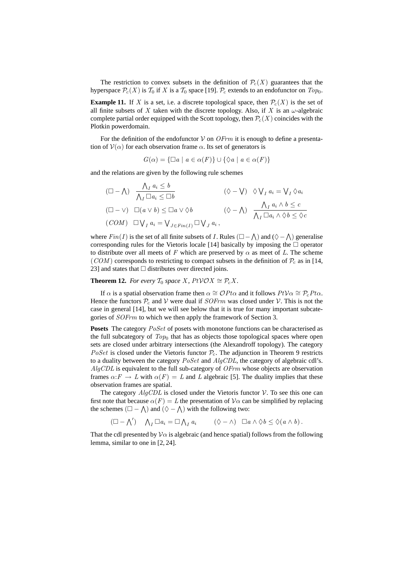The restriction to convex subsets in the definition of  $\mathcal{P}_c(X)$  guarantees that the hyperspace  $\mathcal{P}_c(X)$  is  $\mathcal{T}_0$  if X is a  $\mathcal{T}_0$  space [19].  $\mathcal{P}_c$  extends to an endofunctor on  $Top_0$ .

**Example 11.** If X is a set, i.e. a discrete topological space, then  $\mathcal{P}_c(X)$  is the set of all finite subsets of X taken with the discrete topology. Also, if X is an  $\omega$ -algebraic complete partial order equipped with the Scott topology, then  $\mathcal{P}_c(X)$  coincides with the Plotkin powerdomain.

For the definition of the endofunctor  $V$  on  $\mathcal{O}F$ *rm* it is enough to define a presentation of  $V(\alpha)$  for each observation frame  $\alpha$ . Its set of generators is

 $G(\alpha) = {\square a \mid a \in \alpha(F)} \cup {\emptyset a \mid a \in \alpha(F)}$ 

and the relations are given by the following rule schemes

$$
(\Box - \Lambda) \quad \frac{\Lambda_I \, a_i \leq b}{\Lambda_I \, \Box a_i \leq \Box b} \qquad (\Diamond - \bigvee) \quad \Diamond \bigvee_I a_i = \bigvee_I \Diamond a_i
$$
  

$$
(\Box - \vee) \quad \Box(a \vee b) \leq \Box a \vee \Diamond b \qquad (\Diamond - \Lambda) \quad \frac{\Lambda_I \, a_i \wedge b \leq c}{\Lambda_I \, \Box a_i \wedge \Diamond b \leq \Diamond c}
$$
  

$$
(COM) \quad \Box \bigvee_I a_i = \bigvee_{J \in Fin(I)} \Box \bigvee_J a_i ,
$$

where  $Fin(I)$  is the set of all finite subsets of I. Rules  $(\Box - \land)$  and  $(\Diamond - \land)$  generalise corresponding rules for the Vietoris locale [14] basically by imposing the  $\Box$  operator to distribute over all meets of F which are preserved by  $\alpha$  as meet of L. The scheme (COM) corresponds to restricting to compact subsets in the definition of  $\mathcal{P}_c$  as in [14, 23] and states that  $\Box$  distributes over directed joins.

**Theorem 12.** *For every*  $\mathcal{T}_0$  *space X,*  $PtVOX \cong \mathcal{P}_cX$ *.* 

If  $\alpha$  is a spatial observation frame then  $\alpha \cong \mathcal{O}P$ t $\alpha$  and it follows  $Pt\mathcal{V}\alpha \cong \mathcal{P}_{c}Pt\alpha$ . Hence the functors  $P_c$  and V were dual if  $SOFrm$  was closed under V. This is not the case in general [14], but we will see below that it is true for many important subcategories of SOFrm to which we then apply the framework of Section 3.

**Posets** The category *PoSet* of posets with monotone functions can be characterised as the full subcategory of  $Top<sub>0</sub>$  that has as objects those topological spaces where open sets are closed under arbitrary intersections (the Alexandroff topology). The category *PoSet* is closed under the Vietoris functor  $P_c$ . The adjunction in Theorem 9 restricts to a duality between the category  $PoSet$  and  $AlgCDL$ , the category of algebraic cdl's.  $AlqCDL$  is equivalent to the full sub-category of  $OFrm$  whose objects are observation frames  $\alpha: F \to L$  with  $\alpha(F) = L$  and L algebraic [5]. The duality implies that these observation frames are spatial.

The category  $AlgCDL$  is closed under the Vietoris functor  $V$ . To see this one can first note that because  $\alpha(F) = L$  the presentation of  $\mathcal{V}\alpha$  can be simplified by replacing the schemes  $(\square - \bigwedge)$  and  $(\lozenge - \bigwedge)$  with the following two:

$$
(\Box - \bigwedge') \quad \bigwedge_I \Box a_i = \Box \bigwedge_I a_i \qquad (\Diamond - \wedge) \quad \Box a \wedge \Diamond b \leq \Diamond (a \wedge b).
$$

That the cdl presented by  $\mathcal{V}\alpha$  is algebraic (and hence spatial) follows from the following lemma, similar to one in [2, 24].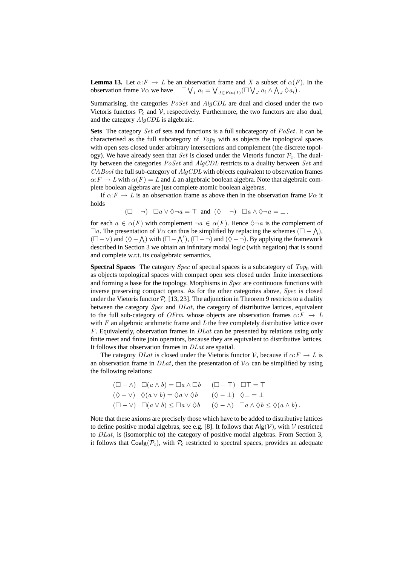**Lemma 13.** Let  $\alpha: F \to L$  be an observation frame and X a subset of  $\alpha(F)$ . In the observation frame  $\mathcal{V}\alpha$  we have  $\Box \bigvee_I a_i = \bigvee_{J \in Fin(I)} (\Box \bigvee_J a_i \wedge \bigwedge_J \Diamond a_i).$ 

Summarising, the categories  $Poset$  and  $AlgCDL$  are dual and closed under the two Vietoris functors  $P_c$  and V, respectively. Furthermore, the two functors are also dual, and the category AlgCDL is algebraic.

Sets The category Set of sets and functions is a full subcategory of PoSet. It can be characterised as the full subcategory of  $Top<sub>0</sub>$  with as objects the topological spaces with open sets closed under arbitrary intersections and complement (the discrete topology). We have already seen that Set is closed under the Vietoris functor  $P_c$ . The duality between the categories  $Poset$  and  $AlgCDL$  restricts to a duality between  $Set$  and  $CABool$  the full sub-category of  $AlgCDL$  with objects equivalent to observation frames  $\alpha: F \to L$  with  $\alpha(F) = L$  and L an algebraic boolean algebra. Note that algebraic complete boolean algebras are just complete atomic boolean algebras.

If  $\alpha: F \to L$  is an observation frame as above then in the observation frame  $\mathcal{V}\alpha$  it holds

 $(\Box - \neg)$   $\Box a \vee \Diamond \neg a = \top$  and  $(\Diamond - \neg)$   $\Box a \wedge \Diamond \neg a = \bot$ .

for each  $a \in \alpha(F)$  with complement  $\neg a \in \alpha(F)$ . Hence  $\Diamond \neg a$  is the complement of  $\Box a$ . The presentation of  $\mathcal{V}\alpha$  can thus be simplified by replacing the schemes  $(\Box - \Lambda)$ ,  $(\square - \vee)$  and  $(\lozenge - \wedge)$  with  $(\square - \wedge')$ ,  $(\square - \neg)$  and  $(\lozenge - \neg)$ . By applying the framework described in Section 3 we obtain an infinitary modal logic (with negation) that is sound and complete w.r.t. its coalgebraic semantics.

**Spectral Spaces** The category *Spec* of spectral spaces is a subcategory of  $Top<sub>0</sub>$  with as objects topological spaces with compact open sets closed under finite intersections and forming a base for the topology. Morphisms in Spec are continuous functions with inverse preserving compact opens. As for the other categories above, Spec is closed under the Vietoris functor  $\mathcal{P}_{c}$  [13, 23]. The adjunction in Theorem 9 restricts to a duality between the category *Spec* and *DLat*, the category of distributive lattices, equivalent to the full sub-category of OFrm whose objects are observation frames  $\alpha: F \to L$ with  $F$  an algebraic arithmetic frame and  $L$  the free completely distributive lattice over  $F$ . Equivalently, observation frames in  $DLat$  can be presented by relations using only finite meet and finite join operators, because they are equivalent to distributive lattices. It follows that observation frames in DLat are spatial.

The category  $DLat$  is closed under the Vietoris functor V, because if  $\alpha$ :  $F \to L$  is an observation frame in  $DLat$ , then the presentation of  $V\alpha$  can be simplified by using the following relations:

$$
(\Box - \land) \Box(a \land b) = \Box a \land \Box b \qquad (\Box - \top) \Box \top = \top
$$
  

$$
(\Diamond - \lor) \Diamond(a \lor b) = \Diamond a \lor \Diamond b \qquad (\Diamond - \bot) \Diamond \bot = \bot
$$
  

$$
(\Box - \lor) \Box(a \lor b) \leq \Box a \lor \Diamond b \qquad (\Diamond - \land) \Box a \land \Diamond b \leq \Diamond(a \land b).
$$

Note that these axioms are precisely those which have to be added to distributive lattices to define positive modal algebras, see e.g. [8]. It follows that  $\text{Alg}(\mathcal{V})$ , with  $\mathcal{V}$  restricted to  $DLat$ , is (isomorphic to) the category of positive modal algebras. From Section 3, it follows that  $Coalg(\mathcal{P}_c)$ , with  $\mathcal{P}_c$  restricted to spectral spaces, provides an adequate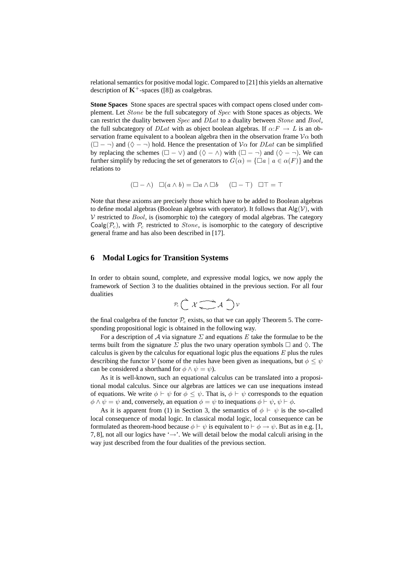relational semantics for positive modal logic. Compared to [21] this yields an alternative description of  $K^+$ -spaces ([8]) as coalgebras.

**Stone Spaces** Stone spaces are spectral spaces with compact opens closed under complement. Let Stone be the full subcategory of Spec with Stone spaces as objects. We can restrict the duality between  $Spec$  and  $DLat$  to a duality between  $Stone$  and  $Bool$ , the full subcategory of DLat with as object boolean algebras. If  $\alpha: F \to L$  is an observation frame equivalent to a boolean algebra then in the observation frame  $\mathcal{V}\alpha$  both  $(\square - \neg)$  and  $(\lozenge - \neg)$  hold. Hence the presentation of  $\mathcal{V}\alpha$  for *DLat* can be simplified by replacing the schemes  $(\square - \vee)$  and  $(\lozenge - \wedge)$  with  $(\square - \neg)$  and  $(\lozenge - \neg)$ . We can further simplify by reducing the set of generators to  $G(\alpha) = {\square a \mid a \in \alpha(F)}$  and the relations to

$$
(\Box - \land) \Box(a \land b) = \Box a \land \Box b \quad (\Box - \top) \Box \top = \top
$$

Note that these axioms are precisely those which have to be added to Boolean algebras to define modal algebras (Boolean algebras with operator). It follows that  $\text{Alg}(\mathcal{V})$ , with  $V$  restricted to  $Bool$ , is (isomorphic to) the category of modal algebras. The category Coalg( $\mathcal{P}_c$ ), with  $\mathcal{P}_c$  restricted to *Stone*, is isomorphic to the category of descriptive general frame and has also been described in [17].

#### **6 Modal Logics for Transition Systems**

In order to obtain sound, complete, and expressive modal logics, we now apply the framework of Section 3 to the dualities obtained in the previous section. For all four dualities

$$
\mathcal{P}_c\bigcap\mathcal{X}\overline{\longrightarrow}\mathcal{A}\ \bigcap\ \mathcal{V}
$$

the final coalgebra of the functor  $P_c$  exists, so that we can apply Theorem 5. The corresponding propositional logic is obtained in the following way.

For a description of A via signature  $\Sigma$  and equations E take the formulae to be the terms built from the signature  $\Sigma$  plus the two unary operation symbols  $\square$  and  $\diamond$ . The calculus is given by the calculus for equational logic plus the equations  $E$  plus the rules describing the functor V (some of the rules have been given as inequations, but  $\phi \leq \psi$ can be considered a shorthand for  $\phi \wedge \psi = \psi$ ).

As it is well-known, such an equational calculus can be translated into a propositional modal calculus. Since our algebras are lattices we can use inequations instead of equations. We write  $\phi \vdash \psi$  for  $\phi \leq \psi$ . That is,  $\phi \vdash \psi$  corresponds to the equation  $\phi \wedge \psi = \psi$  and, conversely, an equation  $\phi = \psi$  to inequations  $\phi \vdash \psi, \psi \vdash \phi$ .

As it is apparent from (1) in Section 3, the semantics of  $\phi \vdash \psi$  is the so-called local consequence of modal logic. In classical modal logic, local consequence can be formulated as theorem-hood because  $\phi \vdash \psi$  is equivalent to  $\vdash \phi \rightarrow \psi$ . But as in e.g. [1, 7, 8], not all our logics have ' $\rightarrow$ '. We will detail below the modal calculi arising in the way just described from the four dualities of the previous section.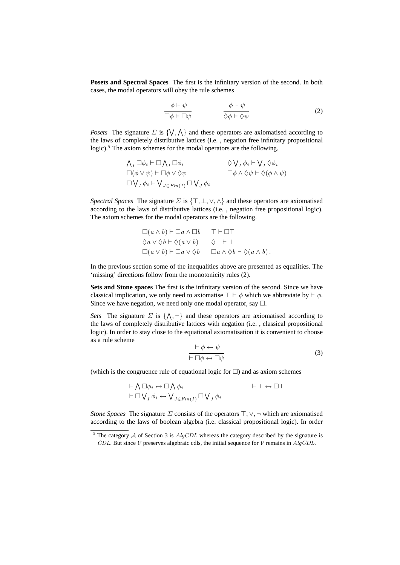**Posets and Spectral Spaces** The first is the infinitary version of the second. In both cases, the modal operators will obey the rule schemes

$$
\frac{\phi \vdash \psi}{\Box \phi \vdash \Box \psi} \qquad \qquad \frac{\phi \vdash \psi}{\Diamond \phi \vdash \Diamond \psi} \tag{2}
$$

*Posets* The signature  $\Sigma$  is  $\{ \} \setminus \Lambda \}$  and these operators are axiomatised according to the laws of completely distributive lattices (i.e. , negation free infinitary propositional logic).<sup>5</sup> The axiom schemes for the modal operators are the following.

$$
\Lambda_I \Box \phi_i \vdash \Box \Lambda_I \Box \phi_i \qquad \Diamond \bigvee_I \phi_i \vdash \bigvee_I \Diamond \phi_i
$$
  
\n
$$
\Box(\phi \lor \psi) \vdash \Box \phi \lor \Diamond \psi \qquad \Box \phi \land \Diamond \psi \vdash \Diamond (\phi \land \psi)
$$
  
\n
$$
\Box \bigvee_I \phi_i \vdash \bigvee_{J \in Fin(I)} \Box \bigvee_J \phi_i
$$

*Spectral Spaces* The signature  $\Sigma$  is  $\{\top, \bot, \vee, \wedge\}$  and these operators are axiomatised according to the laws of distributive lattices (i.e. , negation free propositional logic). The axiom schemes for the modal operators are the following.

$$
\Box(a \land b) \vdash \Box a \land \Box b \qquad \top \vdash \Box \top
$$
  
\n
$$
\Diamond a \lor \Diamond b \vdash \Diamond (a \lor b) \qquad \Diamond \bot \vdash \bot
$$
  
\n
$$
\Box(a \lor b) \vdash \Box a \lor \Diamond b \qquad \Box a \land \Diamond b \vdash \Diamond (a \land b).
$$

In the previous section some of the inequalities above are presented as equalities. The 'missing' directions follow from the monotonicity rules (2).

**Sets and Stone spaces** The first is the infinitary version of the second. Since we have classical implication, we only need to axiomatise  $\top \vdash \phi$  which we abbreviate by  $\vdash \phi$ . Since we have negation, we need only one modal operator, say  $\Box$ .

*Sets* The signature  $\Sigma$  is  $\{\wedge, \neg\}$  and these operators are axiomatised according to the laws of completely distributive lattices with negation (i.e. , classical propositional logic). In order to stay close to the equational axiomatisation it is convenient to choose as a rule scheme

$$
\frac{\vdash \phi \leftrightarrow \psi}{\vdash \Box \phi \leftrightarrow \Box \psi} \tag{3}
$$

(which is the congruence rule of equational logic for  $\square$ ) and as axiom schemes

$$
\vdash \bigwedge \Box \phi_i \leftrightarrow \Box \bigwedge \phi_i \qquad \qquad \vdash \top \leftrightarrow \Box \top
$$
  

$$
\vdash \Box \bigvee_I \phi_i \leftrightarrow \bigvee_{J \in Fin(I)} \Box \bigvee_J \phi_i \qquad \qquad \vdash \top \leftrightarrow \Box \top
$$

*Stone Spaces* The signature  $\Sigma$  consists of the operators  $\top$ ,  $\vee$ ,  $\neg$  which are axiomatised according to the laws of boolean algebra (i.e. classical propositional logic). In order

<sup>&</sup>lt;sup>5</sup> The category  $A$  of Section 3 is  $AlgCDL$  whereas the category described by the signature is CDL. But since V preserves algebraic cdls, the initial sequence for V remains in  $AlqCDL$ .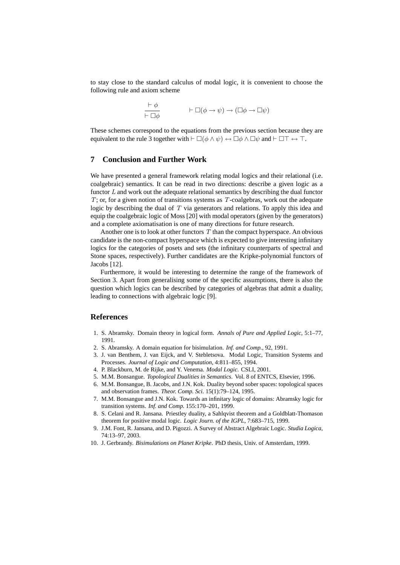to stay close to the standard calculus of modal logic, it is convenient to choose the following rule and axiom scheme

$$
\frac{\vdash \phi}{\vdash \Box \phi} \qquad \qquad \vdash \Box(\phi \to \psi) \to (\Box \phi \to \Box \psi)
$$

These schemes correspond to the equations from the previous section because they are equivalent to the rule 3 together with  $\vdash \Box(\phi \land \psi) \leftrightarrow \Box \phi \land \Box \psi$  and  $\vdash \Box \top \leftrightarrow \top$ .

#### **7 Conclusion and Further Work**

We have presented a general framework relating modal logics and their relational (i.e. coalgebraic) semantics. It can be read in two directions: describe a given logic as a functor  $L$  and work out the adequate relational semantics by describing the dual functor  $T$ ; or, for a given notion of transitions systems as  $T$ -coalgebras, work out the adequate logic by describing the dual of  $T$  via generators and relations. To apply this idea and equip the coalgebraic logic of Moss [20] with modal operators (given by the generators) and a complete axiomatisation is one of many directions for future research.

Another one is to look at other functors  $T$  than the compact hyperspace. An obvious candidate is the non-compact hyperspace which is expected to give interesting infinitary logics for the categories of posets and sets (the infinitary counterparts of spectral and Stone spaces, respectively). Further candidates are the Kripke-polynomial functors of Jacobs [12].

Furthermore, it would be interesting to determine the range of the framework of Section 3. Apart from generalising some of the specific assumptions, there is also the question which logics can be described by categories of algebras that admit a duality, leading to connections with algebraic logic [9].

#### **References**

- 1. S. Abramsky. Domain theory in logical form. *Annals of Pure and Applied Logic*, 5:1–77, 1991.
- 2. S. Abramsky. A domain equation for bisimulation. *Inf. and Comp.*, 92, 1991.
- 3. J. van Benthem, J. van Eijck, and V. Stebletsova. Modal Logic, Transition Systems and Processes. *Journal of Logic and Computation*, 4:811–855, 1994.
- 4. P. Blackburn, M. de Rijke, and Y. Venema. *Modal Logic*. CSLI, 2001.
- 5. M.M. Bonsangue. *Topological Dualities in Semantics*. Vol. 8 of ENTCS, Elsevier, 1996.
- 6. M.M. Bonsangue, B. Jacobs, and J.N. Kok. Duality beyond sober spaces: topological spaces and observation frames. *Theor. Comp. Sci.* 15(1):79–124, 1995.
- 7. M.M. Bonsangue and J.N. Kok. Towards an infinitary logic of domains: Abramsky logic for transition systems. *Inf. and Comp.* 155:170–201, 1999.
- 8. S. Celani and R. Jansana. Priestley duality, a Sahlqvist theorem and a Goldblatt-Thomason theorem for positive modal logic. *Logic Journ. of the IGPL*, 7:683–715, 1999.
- 9. J.M. Font, R. Jansana, and D. Pigozzi. A Survey of Abstract Algebraic Logic. *Studia Logica*, 74:13–97, 2003.
- 10. J. Gerbrandy. *Bisimulations on Planet Kripke*. PhD thesis, Univ. of Amsterdam, 1999.